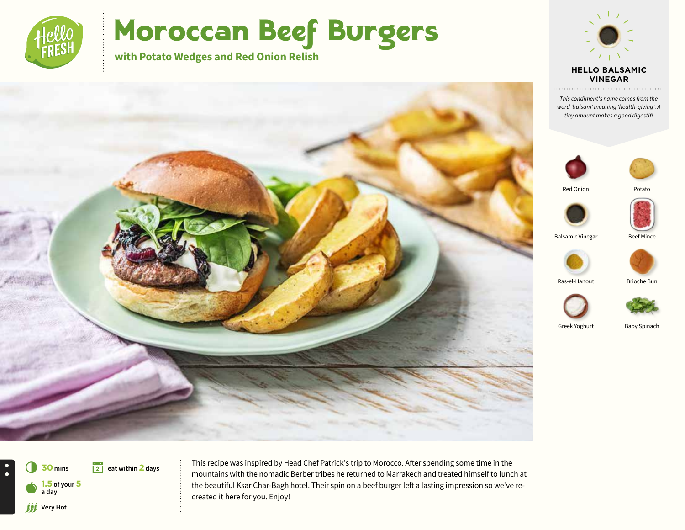

# Moroccan Beef Burgers

**with Potato Wedges and Red Onion Relish**



*This condiment's name comes from the word 'balsam' meaning 'health-giving'. A tiny amount makes a good digestif!*





Red Onion





Balsamic Vinegar Beef Mince



Ras-el-Hanout Brioche Bun





Greek Yoghurt Baby Spinach





 $\bullet$ 

This recipe was inspired by Head Chef Patrick's trip to Morocco. After spending some time in the mountains with the nomadic Berber tribes he returned to Marrakech and treated himself to lunch at the beautiful Ksar Char-Bagh hotel. Their spin on a beef burger left a lasting impression so we've recreated it here for you. Enjoy!